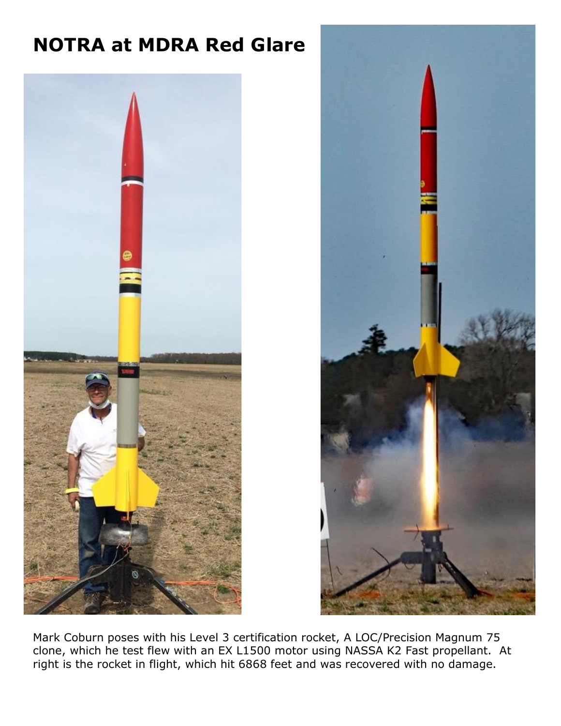## **NOTRA at MDRA Red Glare**





Mark Coburn poses with his Level 3 certification rocket, A LOC/Precision Magnum 75 clone, which he test flew with an EX L1500 motor using NASSA K2 Fast propellant. At right is the rocket in flight, which hit 6868 feet and was recovered with no damage.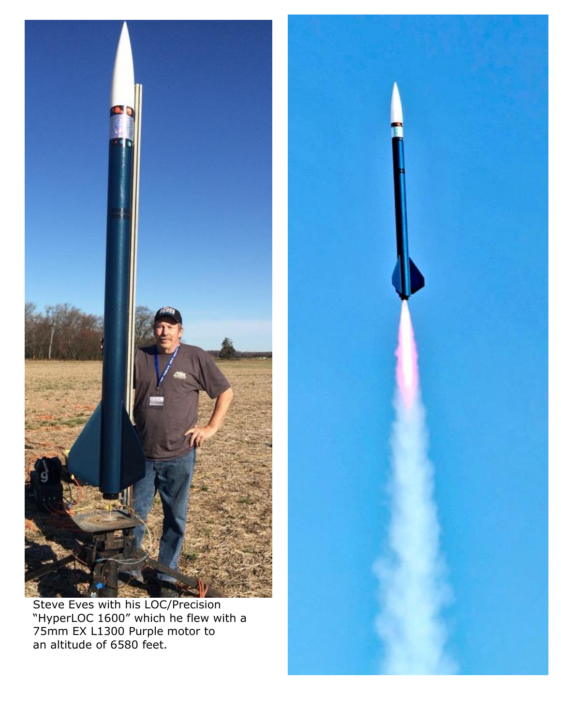

Steve Eves with his LOC/Precision "HyperLOC 1600" which he flew with a 75mm EX L1300 Purple motor to an altitude of 6580 feet.

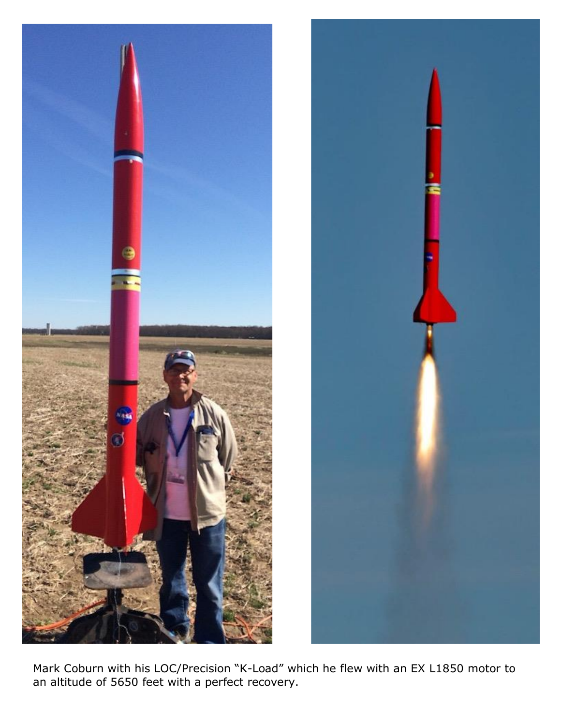



Mark Coburn with his LOC/Precision "K-Load" which he flew with an EX L1850 motor to an altitude of 5650 feet with a perfect recovery.